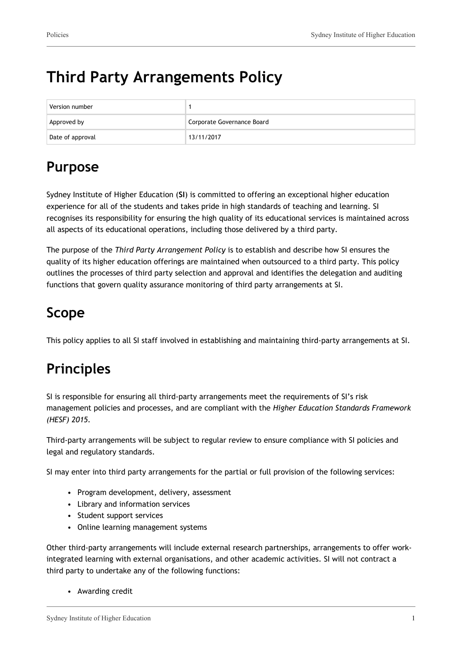# **Third Party Arrangements Policy**

| Version number   |                            |
|------------------|----------------------------|
| Approved by      | Corporate Governance Board |
| Date of approval | 13/11/2017                 |

## **Purpose**

Sydney Institute of Higher Education (**SI**) is committed to offering an exceptional higher education experience for all of the students and takes pride in high standards of teaching and learning. SI recognises its responsibility for ensuring the high quality of its educational services is maintained across all aspects of its educational operations, including those delivered by a third party.

The purpose of the *Third Party Arrangement Policy* is to establish and describe how SI ensures the quality of its higher education offerings are maintained when outsourced to a third party. This policy outlines the processes of third party selection and approval and identifies the delegation and auditing functions that govern quality assurance monitoring of third party arrangements at SI.

## **Scope**

This policy applies to all SI staff involved in establishing and maintaining third-party arrangements at SI.

# **Principles**

SI is responsible for ensuring all third-party arrangements meet the requirements of SI's risk management policies and processes, and are compliant with the *Higher Education Standards Framework (HESF) 2015.*

Third-party arrangements will be subject to regular review to ensure compliance with SI policies and legal and regulatory standards.

SI may enter into third party arrangements for the partial or full provision of the following services:

- Program development, delivery, assessment
- Library and information services
- Student support services
- Online learning management systems

Other third-party arrangements will include external research partnerships, arrangements to offer workintegrated learning with external organisations, and other academic activities. SI will not contract a third party to undertake any of the following functions:

• Awarding credit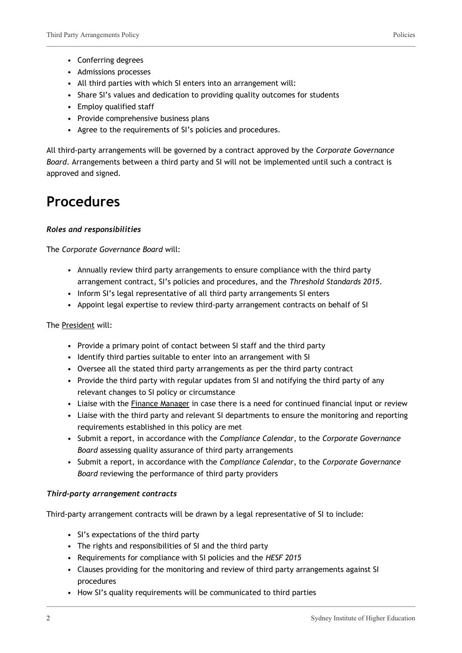- Conferring degrees
- Admissions processes
- All third parties with which SI enters into an arrangement will:
- Share SI's values and dedication to providing quality outcomes for students
- Employ qualified staff
- Provide comprehensive business plans
- Agree to the requirements of SI's policies and procedures.

All third-party arrangements will be governed by a contract approved by the *Corporate Governance Board*. Arrangements between a third party and SI will not be implemented until such a contract is approved and signed.

### **Procedures**

#### *Roles and responsibilities*

The *Corporate Governance Board* will:

- Annually review third party arrangements to ensure compliance with the third party arrangement contract, SI's policies and procedures, and the *Threshold Standards 2015*.
- Inform SI's legal representative of all third party arrangements SI enters
- Appoint legal expertise to review third-party arrangement contracts on behalf of SI

#### The President will:

- Provide a primary point of contact between SI staff and the third party
- Identify third parties suitable to enter into an arrangement with SI
- Oversee all the stated third party arrangements as per the third party contract
- Provide the third party with regular updates from SI and notifying the third party of any relevant changes to SI policy or circumstance
- Liaise with the Finance Manager in case there is a need for continued financial input or review
- Liaise with the third party and relevant SI departments to ensure the monitoring and reporting requirements established in this policy are met
- Submit a report, in accordance with the *Compliance Calendar*, to the *Corporate Governance Board* assessing quality assurance of third party arrangements
- Submit a report, in accordance with the *Compliance Calendar*, to the *Corporate Governance Board* reviewing the performance of third party providers

#### *Third-party arrangement contracts*

Third-party arrangement contracts will be drawn by a legal representative of SI to include:

- SI's expectations of the third party
- The rights and responsibilities of SI and the third party
- Requirements for compliance with SI policies and the *HESF 2015*
- Clauses providing for the monitoring and review of third party arrangements against SI procedures
- How SI's quality requirements will be communicated to third parties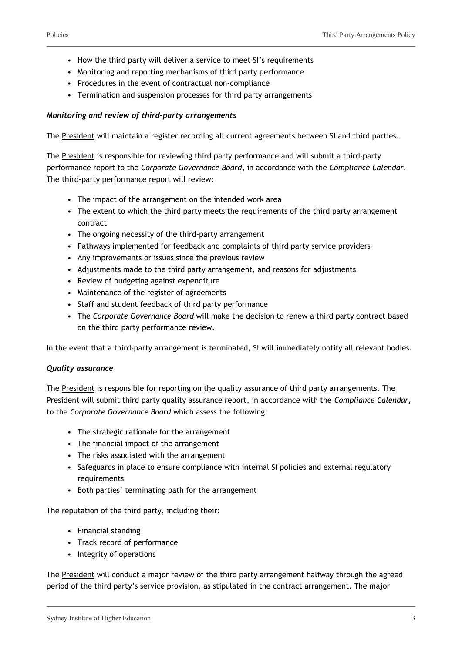- How the third party will deliver a service to meet SI's requirements
- Monitoring and reporting mechanisms of third party performance
- Procedures in the event of contractual non-compliance
- Termination and suspension processes for third party arrangements

#### *Monitoring and review of third-party arrangements*

The President will maintain a register recording all current agreements between SI and third parties.

The President is responsible for reviewing third party performance and will submit a third-party performance report to the *Corporate Governance Board*, in accordance with the *Compliance Calendar*. The third-party performance report will review:

- The impact of the arrangement on the intended work area
- The extent to which the third party meets the requirements of the third party arrangement contract
- The ongoing necessity of the third-party arrangement
- Pathways implemented for feedback and complaints of third party service providers
- Any improvements or issues since the previous review
- Adjustments made to the third party arrangement, and reasons for adjustments
- Review of budgeting against expenditure
- Maintenance of the register of agreements
- Staff and student feedback of third party performance
- The *Corporate Governance Board* will make the decision to renew a third party contract based on the third party performance review.

In the event that a third-party arrangement is terminated, SI will immediately notify all relevant bodies.

#### *Quality assurance*

The President is responsible for reporting on the quality assurance of third party arrangements. The President will submit third party quality assurance report, in accordance with the *Compliance Calendar*, to the *Corporate Governance Board* which assess the following:

- The strategic rationale for the arrangement
- The financial impact of the arrangement
- The risks associated with the arrangement
- Safeguards in place to ensure compliance with internal SI policies and external regulatory requirements
- Both parties' terminating path for the arrangement

The reputation of the third party, including their:

- Financial standing
- Track record of performance
- Integrity of operations

The President will conduct a major review of the third party arrangement halfway through the agreed period of the third party's service provision, as stipulated in the contract arrangement. The major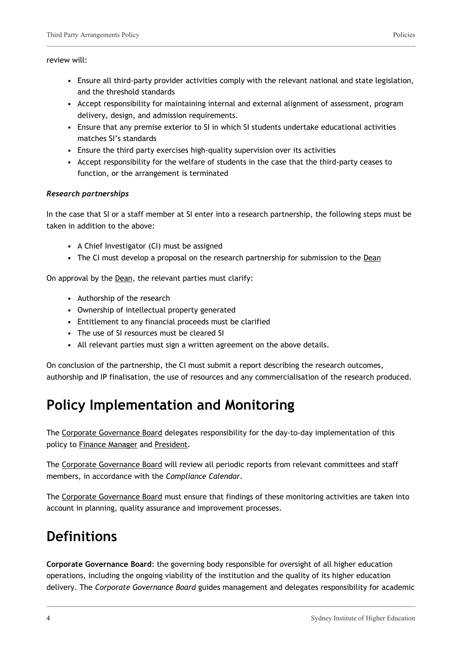#### review will:

- Ensure all third-party provider activities comply with the relevant national and state legislation, and the threshold standards
- Accept responsibility for maintaining internal and external alignment of assessment, program delivery, design, and admission requirements.
- Ensure that any premise exterior to SI in which SI students undertake educational activities matches SI's standards
- Ensure the third party exercises high-quality supervision over its activities
- Accept responsibility for the welfare of students in the case that the third-party ceases to function, or the arrangement is terminated

#### *Research partnerships*

In the case that SI or a staff member at SI enter into a research partnership, the following steps must be taken in addition to the above:

- A Chief Investigator (CI) must be assigned
- The CI must develop a proposal on the research partnership for submission to the Dean

On approval by the Dean, the relevant parties must clarify:

- Authorship of the research
- Ownership of intellectual property generated
- Entitlement to any financial proceeds must be clarified
- The use of SI resources must be cleared SI
- All relevant parties must sign a written agreement on the above details.

On conclusion of the partnership, the CI must submit a report describing the research outcomes, authorship and IP finalisation, the use of resources and any commercialisation of the research produced.

## **Policy Implementation and Monitoring**

The Corporate Governance Board delegates responsibility for the day-to-day implementation of this policy to Finance Manager and President.

The Corporate Governance Board will review all periodic reports from relevant committees and staff members, in accordance with the *Compliance Calendar*.

The Corporate Governance Board must ensure that findings of these monitoring activities are taken into account in planning, quality assurance and improvement processes.

### **Definitions**

**Corporate Governance Board**: the governing body responsible for oversight of all higher education operations, including the ongoing viability of the institution and the quality of its higher education delivery. The *Corporate Governance Board* guides management and delegates responsibility for academic